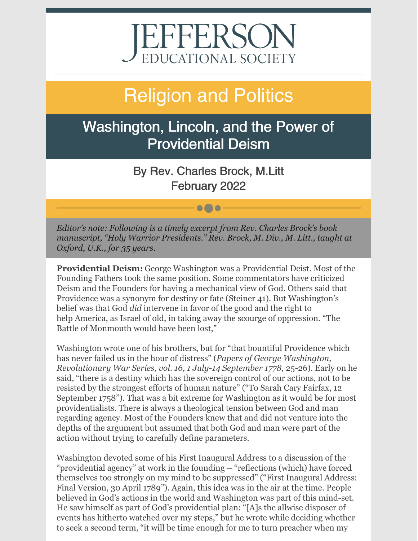# EFFERSON EDUCATIONAL SOCIETY

## Religion and Politics

## Washington, Lincoln, and the Power of Providential Deism

By Rev. Charles Brock, M.Litt February 2022

 $\bullet$   $\bullet$   $\bullet$ 

*Editor's note: Following is a timely excerpt from Rev. Charles Brock's book manuscript, "Holy Warrior Presidents." Rev. Brock, M. Div., M. Litt., taught at Oxford, U.K., for 35 years.*

**Providential Deism:** George Washington was a Providential Deist. Most of the Founding Fathers took the same position. Some commentators have criticized Deism and the Founders for having a mechanical view of God. Others said that Providence was a synonym for destiny or fate (Steiner 41). But Washington's belief was that God *did* intervene in favor of the good and the right to help America, as Israel of old, in taking away the scourge of oppression. "The Battle of Monmouth would have been lost,"

Washington wrote one of his brothers, but for "that bountiful Providence which has never failed us in the hour of distress" (*Papers of George Washington, Revolutionary War Series, vol. 16, 1 July-14 September 1778*, 25-26). Early on he said, "there is a destiny which has the sovereign control of our actions, not to be resisted by the strongest efforts of human nature" ("To Sarah Cary Fairfax, 12 September 1758"). That was a bit extreme for Washington as it would be for most providentialists. There is always a theological tension between God and man regarding agency. Most of the Founders knew that and did not venture into the depths of the argument but assumed that both God and man were part of the action without trying to carefully define parameters.

Washington devoted some of his First Inaugural Address to a discussion of the "providential agency" at work in the founding – "reflections (which) have forced themselves too strongly on my mind to be suppressed" ("First Inaugural Address: Final Version, 30 April 1789"). Again, this idea was in the air at the time. People believed in God's actions in the world and Washington was part of this mind-set. He saw himself as part of God's providential plan: "[A]s the allwise disposer of events has hitherto watched over my steps," but he wrote while deciding whether to seek a second term, "it will be time enough for me to turn preacher when my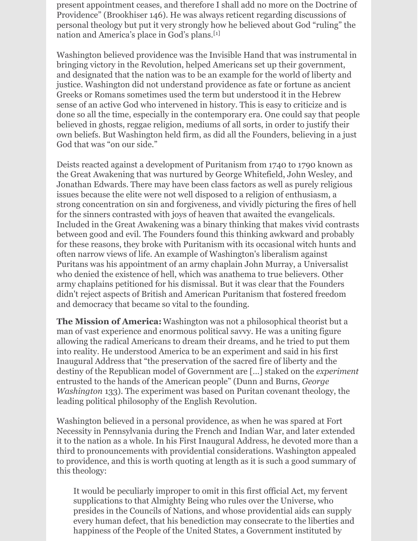present appointment ceases, and therefore I shall add no more on the Doctrine of Providence" (Brookhiser 146). He was always reticent regarding discussions of personal theology but put it very strongly how he believed about God "ruling" the nation and America's place in God's plans.<sup>[1]</sup>

Washington believed providence was the Invisible Hand that was instrumental in bringing victory in the Revolution, helped Americans set up their government, and designated that the nation was to be an example for the world of liberty and justice. Washington did not understand providence as fate or fortune as ancient Greeks or Romans sometimes used the term but understood it in the Hebrew sense of an active God who intervened in history. This is easy to criticize and is done so all the time, especially in the contemporary era. One could say that people believed in ghosts, reggae religion, mediums of all sorts, in order to justify their own beliefs. But Washington held firm, as did all the Founders, believing in a just God that was "on our side."

Deists reacted against a development of Puritanism from 1740 to 1790 known as the Great Awakening that was nurtured by George Whitefield, John Wesley, and Jonathan Edwards. There may have been class factors as well as purely religious issues because the elite were not well disposed to a religion of enthusiasm, a strong concentration on sin and forgiveness, and vividly picturing the fires of hell for the sinners contrasted with joys of heaven that awaited the evangelicals. Included in the Great Awakening was a binary thinking that makes vivid contrasts between good and evil. The Founders found this thinking awkward and probably for these reasons, they broke with Puritanism with its occasional witch hunts and often narrow views of life. An example of Washington's liberalism against Puritans was his appointment of an army chaplain John Murray, a Universalist who denied the existence of hell, which was anathema to true believers. Other army chaplains petitioned for his dismissal. But it was clear that the Founders didn't reject aspects of British and American Puritanism that fostered freedom and democracy that became so vital to the founding.

**The Mission of America:** Washington was not a philosophical theorist but a man of vast experience and enormous political savvy. He was a uniting figure allowing the radical Americans to dream their dreams, and he tried to put them into reality. He understood America to be an experiment and said in his first Inaugural Address that "the preservation of the sacred fire of liberty and the destiny of the Republican model of Government are […] staked on the *experiment* entrusted to the hands of the American people" (Dunn and Burns, *George Washington* 133). The experiment was based on Puritan covenant theology, the leading political philosophy of the English Revolution.

Washington believed in a personal providence, as when he was spared at Fort Necessity in Pennsylvania during the French and Indian War, and later extended it to the nation as a whole. In his First Inaugural Address, he devoted more than a third to pronouncements with providential considerations. Washington appealed to providence, and this is worth quoting at length as it is such a good summary of this theology:

It would be peculiarly improper to omit in this first official Act, my fervent supplications to that Almighty Being who rules over the Universe, who presides in the Councils of Nations, and whose providential aids can supply every human defect, that his benediction may consecrate to the liberties and happiness of the People of the United States, a Government instituted by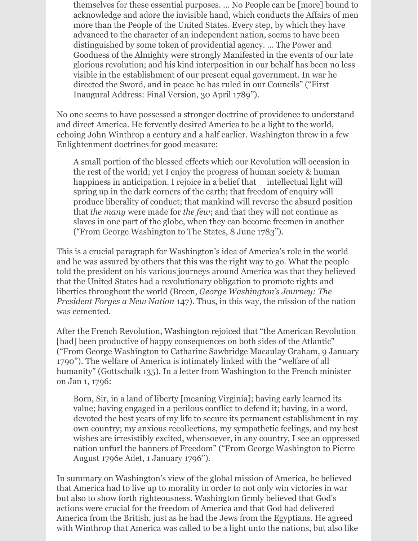themselves for these essential purposes. ... No People can be [more] bound to acknowledge and adore the invisible hand, which conducts the Affairs of men more than the People of the United States. Every step, by which they have advanced to the character of an independent nation, seems to have been distinguished by some token of providential agency. ... The Power and Goodness of the Almighty were strongly Manifested in the events of our late glorious revolution; and his kind interposition in our behalf has been no less visible in the establishment of our present equal government. In war he directed the Sword, and in peace he has ruled in our Councils" ("First") Inaugural Address: Final Version, 30 April 1789").

No one seems to have possessed a stronger doctrine of providence to understand and direct America. He fervently desired America to be a light to the world, echoing John Winthrop a century and a half earlier. Washington threw in a few Enlightenment doctrines for good measure:

A small portion of the blessed effects which our Revolution will occasion in the rest of the world; yet I enjoy the progress of human society & human happiness in anticipation. I rejoice in a belief that intellectual light will spring up in the dark corners of the earth; that freedom of enquiry will produce liberality of conduct; that mankind will reverse the absurd position that *the many* were made for *the few*; and that they will not continue as slaves in one part of the globe, when they can become freemen in another ("From George Washington to The States, 8 June 1783").

This is a crucial paragraph for Washington's idea of America's role in the world and he was assured by others that this was the right way to go. What the people told the president on his various journeys around America was that they believed that the United States had a revolutionary obligation to promote rights and liberties throughout the world (Breen, *George Washington's Journey: The President Forges a New Nation* 147). Thus, in this way, the mission of the nation was cemented.

After the French Revolution, Washington rejoiced that "the American Revolution [had] been productive of happy consequences on both sides of the Atlantic" ("From George Washington to Catharine Sawbridge Macaulay Graham, 9 January 1790"). The welfare of America is intimately linked with the "welfare of all humanity" (Gottschalk 135). In a letter from Washington to the French minister on Jan 1, 1796:

Born, Sir, in a land of liberty [meaning Virginia]; having early learned its value; having engaged in a perilous conflict to defend it; having, in a word, devoted the best years of my life to secure its permanent establishment in my own country; my anxious recollections, my sympathetic feelings, and my best wishes are irresistibly excited, whensoever, in any country, I see an oppressed nation unfurl the banners of Freedom" ("From George Washington to Pierre August 1796e Adet, 1 January 1796").

In summary on Washington's view of the global mission of America, he believed that America had to live up to morality in order to not only win victories in war but also to show forth righteousness. Washington firmly believed that God's actions were crucial for the freedom of America and that God had delivered America from the British, just as he had the Jews from the Egyptians. He agreed with Winthrop that America was called to be a light unto the nations, but also like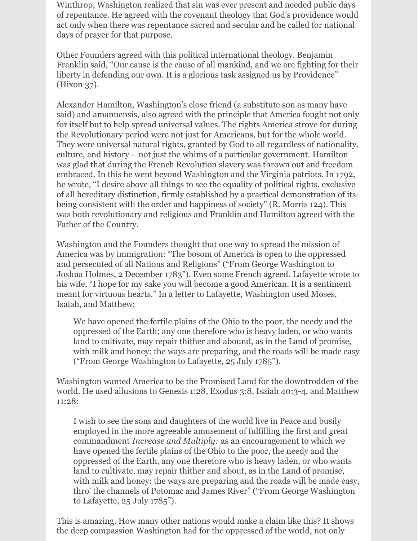Winthrop, Washington realized that sin was ever present and needed public days of repentance. He agreed with the covenant theology that God's providence would act only when there was repentance sacred and secular and he called for national days of prayer for that purpose.

Other Founders agreed with this political international theology. Benjamin Franklin said, "Our cause is the cause of all mankind, and we are fighting for their liberty in defending our own. It is a glorious task assigned us by Providence" (Hixon 37).

Alexander Hamilton, Washington's close friend (a substitute son as many have said) and amanuensis, also agreed with the principle that America fought not only for itself but to help spread universal values. The rights America strove for during the Revolutionary period were not just for Americans, but for the whole world. They were universal natural rights, granted by God to all regardless of nationality, culture, and history – not just the whims of a particular government. Hamilton was glad that during the French Revolution slavery was thrown out and freedom embraced. In this he went beyond Washington and the Virginia patriots. In 1792, he wrote, "I desire above all things to see the equality of political rights, exclusive of all hereditary distinction, firmly established by a practical demonstration of its being consistent with the order and happiness of society" (R. Morris 124). This was both revolutionary and religious and Franklin and Hamilton agreed with the Father of the Country.

Washington and the Founders thought that one way to spread the mission of America was by immigration: "The bosom of America is open to the oppressed and persecuted of all Nations and Religions" ("From George Washington to Joshua Holmes, 2 December 1783"). Even some French agreed. Lafayette wrote to his wife, "I hope for my sake you will become a good American. It is a sentiment meant for virtuous hearts." In a letter to Lafayette, Washington used Moses, Isaiah, and Matthew:

We have opened the fertile plains of the Ohio to the poor, the needy and the oppressed of the Earth; any one therefore who is heavy laden, or who wants land to cultivate, may repair thither and abound, as in the Land of promise, with milk and honey: the ways are preparing, and the roads will be made easy ("From George Washington to Lafayette,  $25$  July 1785").

Washington wanted America to be the Promised Land for the downtrodden of the world. He used allusions to Genesis 1:28, Exodus 3:8, Isaiah 40:3-4, and Matthew 11:28:

I wish to see the sons and daughters of the world live in Peace and busily employed in the more agreeable amusement of fulfilling the first and great commandment *Increase and Multiply:* as an encouragement to which we have opened the fertile plains of the Ohio to the poor, the needy and the oppressed of the Earth, any one therefore who is heavy laden, or who wants land to cultivate, may repair thither and about, as in the Land of promise, with milk and honey: the ways are preparing and the roads will be made easy, thro' the channels of Potomac and James River" ("From George Washington to Lafayette,  $25$  July  $1785$ ").

This is amazing. How many other nations would make a claim like this? It shows the deep compassion Washington had for the oppressed of the world, not only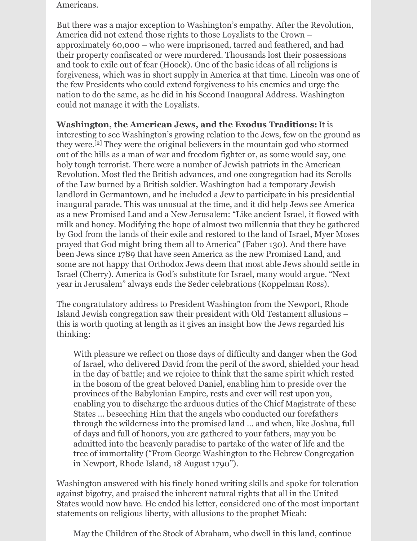Americans.

But there was a major exception to Washington's empathy. After the Revolution, America did not extend those rights to those Loyalists to the Crown – approximately 60,000 – who were imprisoned, tarred and feathered, and had their property confiscated or were murdered. Thousands lost their possessions and took to exile out of fear (Hoock). One of the basic ideas of all religions is forgiveness, which was in short supply in America at that time. Lincoln was one of the few Presidents who could extend forgiveness to his enemies and urge the nation to do the same, as he did in his Second Inaugural Address. Washington could not manage it with the Loyalists.

**Washington, the American Jews, and the Exodus Traditions:**It is interesting to see Washington's growing relation to the Jews, few on the ground as they were. [2] They were the original believers in the mountain god who stormed out of the hills as a man of war and freedom fighter or, as some would say, one holy tough terrorist. There were a number of Jewish patriots in the American Revolution. Most fled the British advances, and one congregation had its Scrolls of the Law burned by a British soldier. Washington had a temporary Jewish landlord in Germantown, and he included a Jew to participate in his presidential inaugural parade. This was unusual at the time, and it did help Jews see America as a new Promised Land and a New Jerusalem: "Like ancient Israel, it flowed with milk and honey. Modifying the hope of almost two millennia that they be gathered by God from the lands of their exile and restored to the land of Israel, Myer Moses prayed that God might bring them all to America" (Faber 130). And there have been Jews since 1789 that have seen America as the new Promised Land, and some are not happy that Orthodox Jews deem that most able Jews should settle in Israel (Cherry). America is God's substitute for Israel, many would argue. "Next year in Jerusalem" always ends the Seder celebrations (Koppelman Ross).

The congratulatory address to President Washington from the Newport, Rhode Island Jewish congregation saw their president with Old Testament allusions – this is worth quoting at length as it gives an insight how the Jews regarded his thinking:

With pleasure we reflect on those days of difficulty and danger when the God of Israel, who delivered David from the peril of the sword, shielded your head in the day of battle; and we rejoice to think that the same spirit which rested in the bosom of the great beloved Daniel, enabling him to preside over the provinces of the Babylonian Empire, rests and ever will rest upon you, enabling you to discharge the arduous duties of the Chief Magistrate of these States ... beseeching Him that the angels who conducted our forefathers through the wilderness into the promised land ... and when, like Joshua, full of days and full of honors, you are gathered to your fathers, may you be admitted into the heavenly paradise to partake of the water of life and the tree of immortality ("From George Washington to the Hebrew Congregation in Newport, Rhode Island, 18 August 1790").

Washington answered with his finely honed writing skills and spoke for toleration against bigotry, and praised the inherent natural rights that all in the United States would now have. He ended his letter, considered one of the most important statements on religious liberty, with allusions to the prophet Micah:

May the Children of the Stock of Abraham, who dwell in this land, continue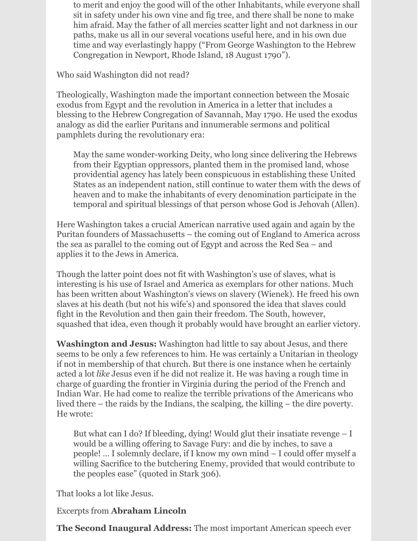to merit and enjoy the good will of the other Inhabitants, while everyone shall sit in safety under his own vine and fig tree, and there shall be none to make him afraid. May the father of all mercies scatter light and not darkness in our paths, make us all in our several vocations useful here, and in his own due time and way everlastingly happy ("From George Washington to the Hebrew Congregation in Newport, Rhode Island, 18 August 1790").

Who said Washington did not read?

Theologically, Washington made the important connection between the Mosaic exodus from Egypt and the revolution in America in a letter that includes a blessing to the Hebrew Congregation of Savannah, May 1790. He used the exodus analogy as did the earlier Puritans and innumerable sermons and political pamphlets during the revolutionary era:

May the same wonder-working Deity, who long since delivering the Hebrews from their Egyptian oppressors, planted them in the promised land, whose providential agency has lately been conspicuous in establishing these United States as an independent nation, still continue to water them with the dews of heaven and to make the inhabitants of every denomination participate in the temporal and spiritual blessings of that person whose God is Jehovah (Allen).

Here Washington takes a crucial American narrative used again and again by the Puritan founders of Massachusetts – the coming out of England to America across the sea as parallel to the coming out of Egypt and across the Red Sea – and applies it to the Jews in America.

Though the latter point does not fit with Washington's use of slaves, what is interesting is his use of Israel and America as exemplars for other nations. Much has been written about Washington's views on slavery (Wienek). He freed his own slaves at his death (but not his wife's) and sponsored the idea that slaves could fight in the Revolution and then gain their freedom. The South, however, squashed that idea, even though it probably would have brought an earlier victory.

**Washington and Jesus:** Washington had little to say about Jesus, and there seems to be only a few references to him. He was certainly a Unitarian in theology if not in membership of that church. But there is one instance when he certainly acted a lot *like* Jesus even if he did not realize it. He was having a rough time in charge of guarding the frontier in Virginia during the period of the French and Indian War. He had come to realize the terrible privations of the Americans who lived there – the raids by the Indians, the scalping, the killing – the dire poverty. He wrote:

But what can I do? If bleeding, dying! Would glut their insatiate revenge  $- I$ would be a willing offering to Savage Fury: and die by inches, to save a people! … I solemnly declare, if I know my own mind  $-$  I could offer myself a willing Sacrifice to the butchering Enemy, provided that would contribute to the peoples ease" (quoted in Stark 306).

That looks a lot like Jesus.

Excerpts from **Abraham Lincoln**

**The Second Inaugural Address:** The most important American speech ever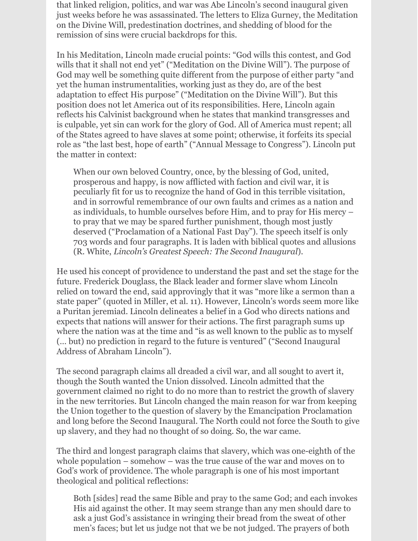that linked religion, politics, and war was Abe Lincoln's second inaugural given just weeks before he was assassinated. The letters to Eliza Gurney, the Meditation on the Divine Will, predestination doctrines, and shedding of blood for the remission of sins were crucial backdrops for this.

In his Meditation, Lincoln made crucial points: "God wills this contest, and God wills that it shall not end yet" ("Meditation on the Divine Will"). The purpose of God may well be something quite different from the purpose of either party "and yet the human instrumentalities, working just as they do, are of the best adaptation to effect His purpose" ("Meditation on the Divine Will"). But this position does not let America out of its responsibilities. Here, Lincoln again reflects his Calvinist background when he states that mankind transgresses and is culpable, yet sin can work for the glory of God. All of America must repent; all of the States agreed to have slaves at some point; otherwise, it forfeits its special role as "the last best, hope of earth" ("Annual Message to Congress"). Lincoln put the matter in context:

When our own beloved Country, once, by the blessing of God, united, prosperous and happy, is now afflicted with faction and civil war, it is peculiarly fit for us to recognize the hand of God in this terrible visitation, and in sorrowful remembrance of our own faults and crimes as a nation and as individuals, to humble ourselves before Him, and to pray for His mercy – to pray that we may be spared further punishment, though most justly deserved ("Proclamation of a National Fast Day"). The speech itself is only  $1703$  words and four paragraphs. It is laden with biblical quotes and allusions *(R. White, Lincoln's Greatest Speech: The Second Inaugural).* 

He used his concept of providence to understand the past and set the stage for the future. Frederick Douglass, the Black leader and former slave whom Lincoln relied on toward the end, said approvingly that it was "more like a sermon than a state paper" (quoted in Miller, et al. 11). However, Lincoln's words seem more like a Puritan jeremiad. Lincoln delineates a belief in a God who directs nations and expects that nations will answer for their actions. The first paragraph sums up where the nation was at the time and "is as well known to the public as to myself (… but) no prediction in regard to the future is ventured" ("Second Inaugural Address of Abraham Lincoln").

The second paragraph claims all dreaded a civil war, and all sought to avert it, though the South wanted the Union dissolved. Lincoln admitted that the government claimed no right to do no more than to restrict the growth of slavery in the new territories. But Lincoln changed the main reason for war from keeping the Union together to the question of slavery by the Emancipation Proclamation and long before the Second Inaugural. The North could not force the South to give up slavery, and they had no thought of so doing. So, the war came.

The third and longest paragraph claims that slavery, which was one-eighth of the whole population – somehow – was the true cause of the war and moves on to God's work of providence. The whole paragraph is one of his most important theological and political reflections:

Both [sides] read the same Bible and pray to the same God; and each invokes His aid against the other. It may seem strange than any men should dare to ask a just God's assistance in wringing their bread from the sweat of other men's faces; but let us judge not that we be not judged. The prayers of both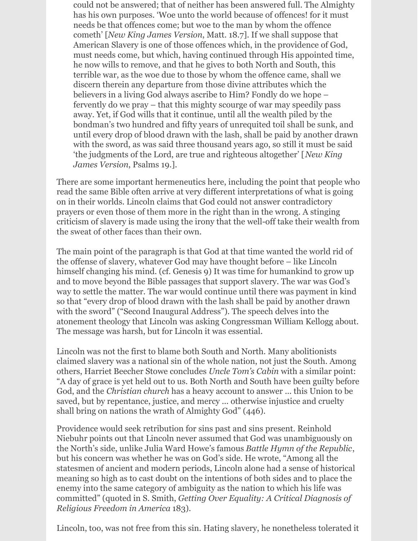could not be answered; that of neither has been answered full. The Almighty has his own purposes. 'Woe unto the world because of offences! for it must needs be that offences come; but woe to the man by whom the offence cometh' [*New King James Version, Matt. 18.7*]. If we shall suppose that American Slavery is one of those offences which, in the providence of God, must needs come, but which, having continued through His appointed time, he now wills to remove, and that he gives to both North and South, this terrible war, as the woe due to those by whom the offence came, shall we discern therein any departure from those divine attributes which the believers in a living God always ascribe to Him? Fondly do we hope – fervently do we pray – that this mighty scourge of war may speedily pass away. Yet, if God wills that it continue, until all the wealth piled by the bondman's two hundred and fifty years of unrequited toil shall be sunk, and until every drop of blood drawn with the lash, shall be paid by another drawn with the sword, as was said three thousand years ago, so still it must be said If the judgments of the Lord, are true and righteous altogether' [*New King*] *James Version*, Psalms 19.].

There are some important hermeneutics here, including the point that people who read the same Bible often arrive at very different interpretations of what is going on in their worlds. Lincoln claims that God could not answer contradictory prayers or even those of them more in the right than in the wrong. A stinging criticism of slavery is made using the irony that the well-off take their wealth from the sweat of other faces than their own.

The main point of the paragraph is that God at that time wanted the world rid of the offense of slavery, whatever God may have thought before – like Lincoln himself changing his mind. (cf. Genesis 9) It was time for humankind to grow up and to move beyond the Bible passages that support slavery. The war was God's way to settle the matter. The war would continue until there was payment in kind so that "every drop of blood drawn with the lash shall be paid by another drawn with the sword" ("Second Inaugural Address"). The speech delves into the atonement theology that Lincoln was asking Congressman William Kellogg about. The message was harsh, but for Lincoln it was essential.

Lincoln was not the first to blame both South and North. Many abolitionists claimed slavery was a national sin of the whole nation, not just the South. Among others, Harriet Beecher Stowe concludes *Uncle Tom's Cabin* with a similar point: "A day of grace is yet held out to us. Both North and South have been guilty before God, and the *Christian church* has a heavy account to answer ... this Union to be saved, but by repentance, justice, and mercy ... otherwise injustice and cruelty shall bring on nations the wrath of Almighty God" (446).

Providence would seek retribution for sins past and sins present. Reinhold Niebuhr points out that Lincoln never assumed that God was unambiguously on the North's side, unlike Julia Ward Howe's famous *Battle Hymn of the Republic*, but his concern was whether he was on God's side. He wrote, "Among all the statesmen of ancient and modern periods, Lincoln alone had a sense of historical meaning so high as to cast doubt on the intentions of both sides and to place the enemy into the same category of ambiguity as the nation to which his life was committed" (quoted in S. Smith, *Getting Over Equality: A Critical Diagnosis of Religious Freedom in America* 183).

Lincoln, too, was not free from this sin. Hating slavery, he nonetheless tolerated it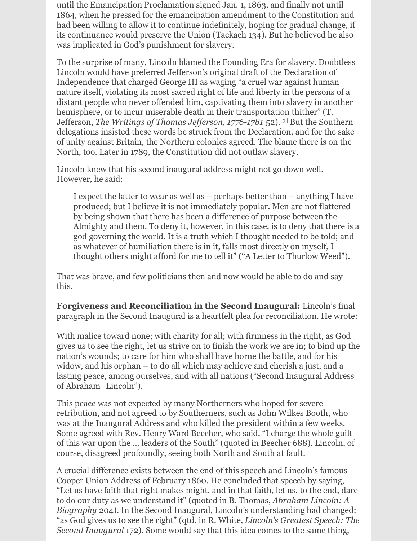until the Emancipation Proclamation signed Jan. 1, 1863, and finally not until 1864, when he pressed for the emancipation amendment to the Constitution and had been willing to allow it to continue indefinitely, hoping for gradual change, if its continuance would preserve the Union (Tackach 134). But he believed he also was implicated in God's punishment for slavery.

To the surprise of many, Lincoln blamed the Founding Era for slavery. Doubtless Lincoln would have preferred Jefferson's original draft of the Declaration of Independence that charged George III as waging "a cruel war against human nature itself, violating its most sacred right of life and liberty in the persons of a distant people who never offended him, captivating them into slavery in another hemisphere, or to incur miserable death in their transportation thither" (T. Jefferson, *The Writings of Thomas Jef erson, 1776-1781* 52). [3] But the Southern delegations insisted these words be struck from the Declaration, and for the sake of unity against Britain, the Northern colonies agreed. The blame there is on the North, too. Later in 1789, the Constitution did not outlaw slavery.

Lincoln knew that his second inaugural address might not go down well. However, he said:

I expect the latter to wear as well as – perhaps better than – anything I have produced; but I believe it is not immediately popular. Men are not flattered by being shown that there has been a difference of purpose between the Almighty and them. To deny it, however, in this case, is to deny that there is a god governing the world. It is a truth which I thought needed to be told; and as whatever of humiliation there is in it, falls most directly on myself, I thought others might afford for me to tell it" ("A Letter to Thurlow Weed").

That was brave, and few politicians then and now would be able to do and say this.

**Forgiveness and Reconciliation in the Second Inaugural:** Lincoln's final paragraph in the Second Inaugural is a heartfelt plea for reconciliation. He wrote:

With malice toward none; with charity for all; with firmness in the right, as God gives us to see the right, let us strive on to finish the work we are in; to bind up the nation's wounds; to care for him who shall have borne the battle, and for his widow, and his orphan – to do all which may achieve and cherish a just, and a lasting peace, among ourselves, and with all nations ("Second Inaugural Address of Abraham Lincoln").

This peace was not expected by many Northerners who hoped for severe retribution, and not agreed to by Southerners, such as John Wilkes Booth, who was at the Inaugural Address and who killed the president within a few weeks. Some agreed with Rev. Henry Ward Beecher, who said, "I charge the whole guilt of this war upon the … leaders of the South" (quoted in Beecher 688). Lincoln, of course, disagreed profoundly, seeing both North and South at fault.

A crucial difference exists between the end of this speech and Lincoln's famous Cooper Union Address of February 1860. He concluded that speech by saying, "Let us have faith that right makes might, and in that faith, let us, to the end, dare to do our duty as we understand it" (quoted in B. Thomas, *Abraham Lincoln: A Biography* 204). In the Second Inaugural, Lincoln's understanding had changed: "as God gives us to see the right" (qtd. in R. White, *Lincoln's Greatest Speech: The Second Inaugural* 172). Some would say that this idea comes to the same thing,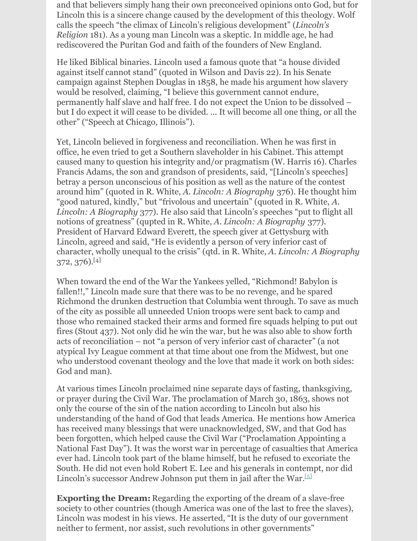and that believers simply hang their own preconceived opinions onto God, but for Lincoln this is a sincere change caused by the development of this theology. Wolf calls the speech "the climax of Lincoln's religious development" (*Lincoln's Religion* 181). As a young man Lincoln was a skeptic. In middle age, he had rediscovered the Puritan God and faith of the founders of New England.

He liked Biblical binaries. Lincoln used a famous quote that "a house divided against itself cannot stand" (quoted in Wilson and Davis 22). In his Senate campaign against Stephen Douglas in 1858, he made his argument how slavery would be resolved, claiming, "I believe this government cannot endure, permanently half slave and half free. I do not expect the Union to be dissolved – but I do expect it will cease to be divided. ... It will become all one thing, or all the other" ("Speech at Chicago, Illinois").

Yet, Lincoln believed in forgiveness and reconciliation. When he was first in office, he even tried to get a Southern slaveholder in his Cabinet. This attempt caused many to question his integrity and/or pragmatism (W. Harris 16). Charles Francis Adams, the son and grandson of presidents, said, "[Lincoln's speeches] betray a person unconscious of his position as well as the nature of the contest around him" (quoted in R. White, *A. Lincoln: A Biography* 376). He thought him "good natured, kindly," but "frivolous and uncertain" (quoted in R. White, *A. Lincoln: A Biography* 377). He also said that Lincoln's speeches "put to flight all notions of greatness" (qupted in R. White, *A. Lincoln: A Biography* 377). President of Harvard Edward Everett, the speech giver at Gettysburg with Lincoln, agreed and said, "He is evidently a person of very inferior cast of character, wholly unequal to the crisis" (qtd. in R. White, *A. Lincoln: A Biography* 372, 376). [4]

When toward the end of the War the Yankees yelled, "Richmond! Babylon is fallen!!," Lincoln made sure that there was to be no revenge, and he spared Richmond the drunken destruction that Columbia went through. To save as much of the city as possible all unneeded Union troops were sent back to camp and those who remained stacked their arms and formed fire squads helping to put out fires (Stout 437). Not only did he win the war, but he was also able to show forth acts of reconciliation – not "a person of very inferior cast of character" (a not atypical Ivy League comment at that time about one from the Midwest, but one who understood covenant theology and the love that made it work on both sides: God and man).

At various times Lincoln proclaimed nine separate days of fasting, thanksgiving, or prayer during the Civil War. The proclamation of March 30, 1863, shows not only the course of the sin of the nation according to Lincoln but also his understanding of the hand of God that leads America. He mentions how America has received many blessings that were unacknowledged, SW, and that God has been forgotten, which helped cause the Civil War ("Proclamation Appointing a National Fast Day"). It was the worst war in percentage of casualties that America ever had. Lincoln took part of the blame himself, but he refused to excoriate the South. He did not even hold Robert E. Lee and his generals in contempt, nor did Lincoln's successor Andrew Johnson put them in jail after the War. [5]

**Exporting the Dream:** Regarding the exporting of the dream of a slave-free society to other countries (though America was one of the last to free the slaves), Lincoln was modest in his views. He asserted, "It is the duty of our government neither to ferment, nor assist, such revolutions in other governments"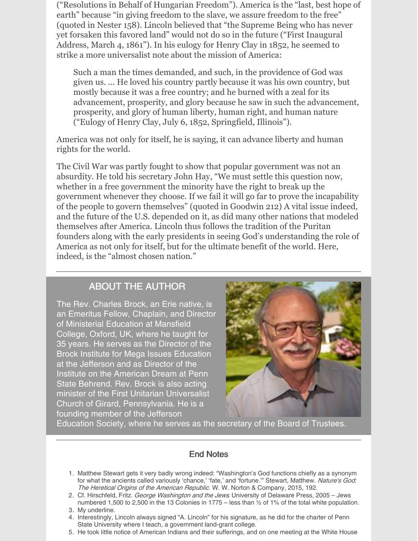("Resolutions in Behalf of Hungarian Freedom"). America is the "last, best hope of earth" because "in giving freedom to the slave, we assure freedom to the free" (quoted in Nester 158). Lincoln believed that "the Supreme Being who has never yet forsaken this favored land" would not do so in the future ("First Inaugural Address, March 4, 1861"). In his eulogy for Henry Clay in 1852, he seemed to strike a more universalist note about the mission of America:

Such a man the times demanded, and such, in the providence of God was given us. ... He loved his country partly because it was his own country, but mostly because it was a free country; and he burned with a zeal for its advancement, prosperity, and glory because he saw in such the advancement, prosperity, and glory of human liberty, human right, and human nature ("Eulogy of Henry Clay, July 6, 1852, Springfield, Illinois").

America was not only for itself, he is saying, it can advance liberty and human rights for the world.

The Civil War was partly fought to show that popular government was not an absurdity. He told his secretary John Hay, "We must settle this question now, whether in a free government the minority have the right to break up the government whenever they choose. If we fail it will go far to prove the incapability of the people to govern themselves" (quoted in Goodwin 212) A vital issue indeed, and the future of the U.S. depended on it, as did many other nations that modeled themselves after America. Lincoln thus follows the tradition of the Puritan founders along with the early presidents in seeing God's understanding the role of America as not only for itself, but for the ultimate benefit of the world. Here, indeed, is the "almost chosen nation."

#### ABOUT THE AUTHOR

The Rev. Charles Brock, an Erie native, is an Emeritus Fellow, Chaplain, and Director of Ministerial Education at Mansfield College, Oxford, UK, where he taught for 35 years. He serves as the Director of the Brock Institute for Mega Issues Education at the Jefferson and as Director of the Institute on the American Dream at Penn State Behrend. Rev. Brock is also acting minister of the First Unitarian Universalist Church of Girard, Pennsylvania. He is a founding member of the Jefferson



Education Society, where he serves as the secretary of the Board of Trustees.

#### End Notes

- 1. Matthew Stewart gets it very badly wrong indeed: "Washington's God functions chiefly as a synonym for what the ancients called variously 'chance,' 'fate,' and 'fortune."" Stewart, Matthew. Nature's God: The Heretical Origins of the American Republic. W. W. Norton & Company, 2015, 192.
- 2. Cf. Hirschfeld, Fritz. George Washington and the Jews. University of Delaware Press, 2005 Jews. numbered 1,500 to 2,500 in the 13 Colonies in 1775 – less than ½ of 1% of the total white population.
- 3. My underline.
- 4. Interestingly, Lincoln always signed "A. Lincoln" for his signature, as he did for the charter of Penn State University where I teach, a government land-grant college.
- 5. He took little notice of American Indians and their sufferings, and on one meeting at the White House